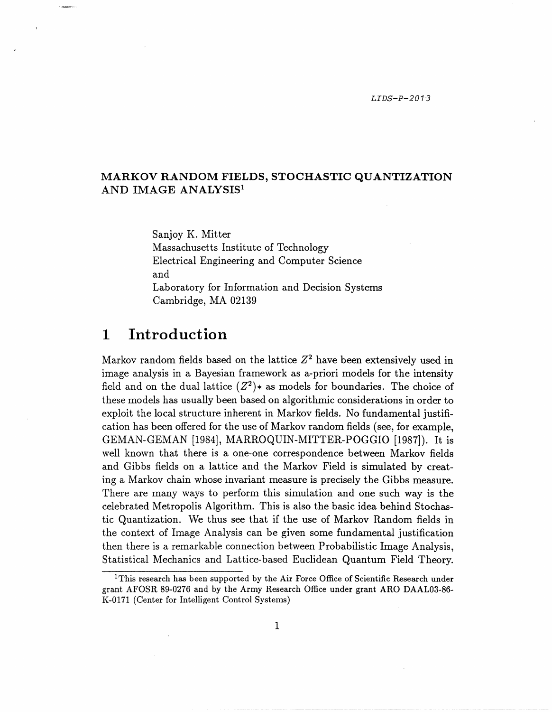### **MARKOV RANDOM FIELDS, STOCHASTIC QUANTIZATION AND IMAGE ANALYSIS'**

Sanjoy K. Mitter Massachusetts Institute of Technology Electrical Engineering and Computer Science and Laboratory for Information and Decision Systems Cambridge, MA 02139

## 1 **Introduction**

Markov random fields based on the lattice  $Z<sup>2</sup>$  have been extensively used in image analysis in a Bayesian framework as a-priori models for the intensity field and on the dual lattice  $(Z^2)$  as models for boundaries. The choice of these models has usually been based on algorithmic considerations in order to exploit the local structure inherent in Markov fields. No fundamental justification has been offered for the use of Markov random fields (see, for example, GEMAN-GEMAN [1984], MARROQUIN-MITTER-POGGIO [1987]). It is well known that there is a one-one correspondence between Markov fields and Gibbs fields on a lattice and the Markov Field is simulated by creating a Markov chain whose invariant measure is precisely the Gibbs measure. There are many ways to perform this simulation and one such way is the celebrated Metropolis Algorithm. This is also the basic idea behind Stochastic Quantization. We thus see that if the use of Markov Random fields in the context of Image Analysis can be given some fundamental justification then there is a remarkable connection between Probabilistic Image Analysis, Statistical Mechanics and Lattice-based Euclidean Quantum Field Theory.

<sup>&</sup>lt;sup>1</sup>This research has been supported by the Air Force Office of Scientific Research under grant AFOSR 89-0276 and by the Army Research Office under grant ARO DAAL03-86- K-0171 (Center for Intelligent Control Systems)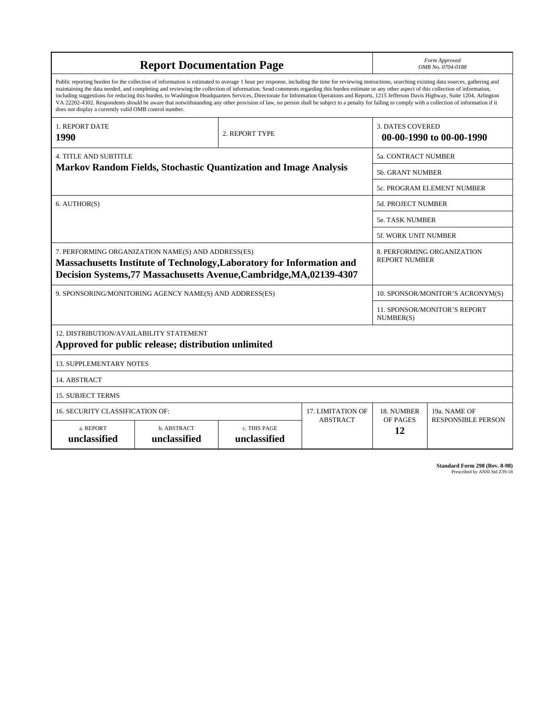| <b>Report Documentation Page</b>                                                                                                                                                                                                                                                                                                                                                                                                                                                                                                                                                                                                                                                                                                                                                                                                                                   |                             |                              |                 | Form Approved<br>OMB No. 0704-0188                  |                           |
|--------------------------------------------------------------------------------------------------------------------------------------------------------------------------------------------------------------------------------------------------------------------------------------------------------------------------------------------------------------------------------------------------------------------------------------------------------------------------------------------------------------------------------------------------------------------------------------------------------------------------------------------------------------------------------------------------------------------------------------------------------------------------------------------------------------------------------------------------------------------|-----------------------------|------------------------------|-----------------|-----------------------------------------------------|---------------------------|
| Public reporting burden for the collection of information is estimated to average 1 hour per response, including the time for reviewing instructions, searching existing data sources, gathering and<br>maintaining the data needed, and completing and reviewing the collection of information. Send comments regarding this burden estimate or any other aspect of this collection of information,<br>including suggestions for reducing this burden, to Washington Headquarters Services, Directorate for Information Operations and Reports, 1215 Jefferson Davis Highway, Suite 1204, Arlington<br>VA 22202-4302. Respondents should be aware that notwithstanding any other provision of law, no person shall be subject to a penalty for failing to comply with a collection of information if it<br>does not display a currently valid OMB control number. |                             |                              |                 |                                                     |                           |
| <b>1. REPORT DATE</b><br>1990                                                                                                                                                                                                                                                                                                                                                                                                                                                                                                                                                                                                                                                                                                                                                                                                                                      | 2. REPORT TYPE              |                              |                 | <b>3. DATES COVERED</b><br>00-00-1990 to 00-00-1990 |                           |
| <b>4. TITLE AND SUBTITLE</b><br><b>Markov Random Fields, Stochastic Quantization and Image Analysis</b>                                                                                                                                                                                                                                                                                                                                                                                                                                                                                                                                                                                                                                                                                                                                                            |                             |                              |                 | 5a. CONTRACT NUMBER                                 |                           |
|                                                                                                                                                                                                                                                                                                                                                                                                                                                                                                                                                                                                                                                                                                                                                                                                                                                                    |                             |                              |                 | 5b. GRANT NUMBER                                    |                           |
|                                                                                                                                                                                                                                                                                                                                                                                                                                                                                                                                                                                                                                                                                                                                                                                                                                                                    |                             |                              |                 | 5c. PROGRAM ELEMENT NUMBER                          |                           |
| 6. AUTHOR(S)                                                                                                                                                                                                                                                                                                                                                                                                                                                                                                                                                                                                                                                                                                                                                                                                                                                       |                             |                              |                 | <b>5d. PROJECT NUMBER</b>                           |                           |
|                                                                                                                                                                                                                                                                                                                                                                                                                                                                                                                                                                                                                                                                                                                                                                                                                                                                    |                             |                              |                 | <b>5e. TASK NUMBER</b>                              |                           |
|                                                                                                                                                                                                                                                                                                                                                                                                                                                                                                                                                                                                                                                                                                                                                                                                                                                                    |                             |                              |                 | 5f. WORK UNIT NUMBER                                |                           |
| 7. PERFORMING ORGANIZATION NAME(S) AND ADDRESS(ES)<br>8. PERFORMING ORGANIZATION<br><b>REPORT NUMBER</b><br>Massachusetts Institute of Technology, Laboratory for Information and<br>Decision Systems, 77 Massachusetts Avenue, Cambridge, MA, 02139-4307                                                                                                                                                                                                                                                                                                                                                                                                                                                                                                                                                                                                          |                             |                              |                 |                                                     |                           |
| 9. SPONSORING/MONITORING AGENCY NAME(S) AND ADDRESS(ES)                                                                                                                                                                                                                                                                                                                                                                                                                                                                                                                                                                                                                                                                                                                                                                                                            |                             |                              |                 | 10. SPONSOR/MONITOR'S ACRONYM(S)                    |                           |
|                                                                                                                                                                                                                                                                                                                                                                                                                                                                                                                                                                                                                                                                                                                                                                                                                                                                    |                             |                              |                 | <b>11. SPONSOR/MONITOR'S REPORT</b><br>NUMBER(S)    |                           |
| 12. DISTRIBUTION/AVAILABILITY STATEMENT<br>Approved for public release; distribution unlimited                                                                                                                                                                                                                                                                                                                                                                                                                                                                                                                                                                                                                                                                                                                                                                     |                             |                              |                 |                                                     |                           |
| <b>13. SUPPLEMENTARY NOTES</b>                                                                                                                                                                                                                                                                                                                                                                                                                                                                                                                                                                                                                                                                                                                                                                                                                                     |                             |                              |                 |                                                     |                           |
| 14. ABSTRACT                                                                                                                                                                                                                                                                                                                                                                                                                                                                                                                                                                                                                                                                                                                                                                                                                                                       |                             |                              |                 |                                                     |                           |
| <b>15. SUBJECT TERMS</b>                                                                                                                                                                                                                                                                                                                                                                                                                                                                                                                                                                                                                                                                                                                                                                                                                                           |                             |                              |                 |                                                     |                           |
| 16. SECURITY CLASSIFICATION OF:<br><b>17. LIMITATION OF</b>                                                                                                                                                                                                                                                                                                                                                                                                                                                                                                                                                                                                                                                                                                                                                                                                        |                             |                              |                 | 18. NUMBER                                          | 19a. NAME OF              |
| a. REPORT<br>unclassified                                                                                                                                                                                                                                                                                                                                                                                                                                                                                                                                                                                                                                                                                                                                                                                                                                          | b. ABSTRACT<br>unclassified | c. THIS PAGE<br>unclassified | <b>ABSTRACT</b> | OF PAGES<br>12                                      | <b>RESPONSIBLE PERSON</b> |

**Standard Form 298 (Rev. 8-98)**<br>Prescribed by ANSI Std Z39-18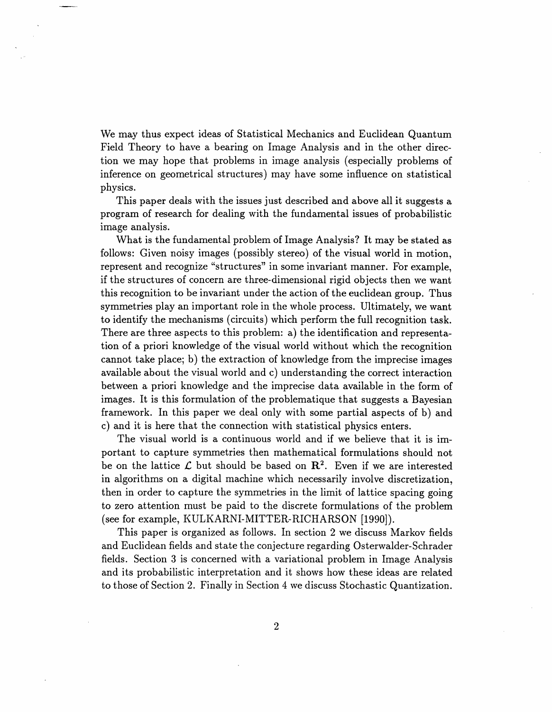We may thus expect ideas of Statistical Mechanics and Euclidean Quantum Field Theory to have a bearing on Image Analysis and in the other direction we may hope that problems in image analysis (especially problems of inference on geometrical structures) may have some influence on statistical physics.

This paper deals with the issues just described and above all it suggests a program of research for dealing with the fundamental issues of probabilistic image analysis.

What is the fundamental problem of Image Analysis? It may be stated as follows: Given noisy images (possibly stereo) of the visual world in motion, represent and recognize "structures" in some invariant manner. For example, if the structures of concern are three-dimensional rigid objects then we want this recognition to be invariant under the action of the euclidean group. Thus symmetries play an important role in the whole process. Ultimately, we want to identify the mechanisms (circuits) which perform the full recognition task. There are three aspects to this problem: a) the identification and representation of a priori knowledge of the visual world without which the recognition cannot take place; b) the extraction of knowledge from the imprecise images available about the visual world and c) understanding the correct interaction between a priori knowledge and the imprecise data available in the form of images. It is this formulation of the problematique that suggests a Bayesian framework. In this paper we deal only with some partial aspects of b) and c) and it is here that the connection with statistical physics enters.

The visual world is a continuous world and if we believe that it is important to capture symmetries then mathematical formulations should not be on the lattice  $\mathcal L$  but should be based on  $\mathbb R^2$ . Even if we are interested in algorithms on a digital machine which necessarily involve discretization, then in order to capture the symmetries in the limit of lattice spacing going to zero attention must be paid to the discrete formulations of the problem (see for example, KULKARNI-MITTER-RICHARSON [1990]).

This paper is organized as follows. In section 2 we discuss Markov fields and Euclidean fields and state the conjecture regarding Osterwalder-Schrader fields. Section 3 is concerned with a variational problem in Image Analysis and its probabilistic interpretation and it shows how these ideas are related to those of Section 2. Finally in Section 4 we discuss Stochastic Quantization.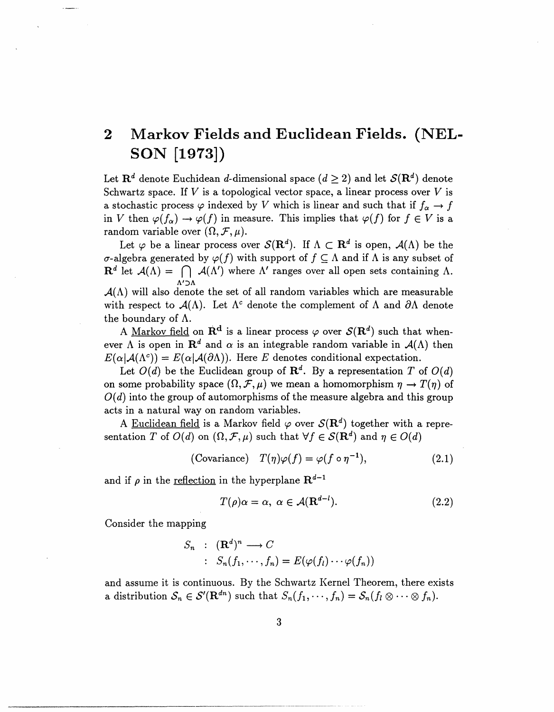## **2 Markov Fields and Euclidean Fields. (NEL-SON [1973])**

Let  $\mathbf{R}^d$  denote Euchidean d-dimensional space  $(d \geq 2)$  and let  $\mathcal{S}(\mathbf{R}^d)$  denote Schwartz space. If  $V$  is a topological vector space, a linear process over  $V$  is a stochastic process  $\varphi$  indexed by V which is linear and such that if  $f_{\alpha} \to f$ in V then  $\varphi(f_\alpha) \to \varphi(f)$  in measure. This implies that  $\varphi(f)$  for  $f \in V$  is a random variable over  $(\Omega, \mathcal{F}, \mu)$ .

Let  $\varphi$  be a linear process over  $\mathcal{S}(\mathbf{R}^d)$ . If  $\Lambda \subset \mathbf{R}^d$  is open,  $\mathcal{A}(\Lambda)$  be the  $\sigma$ -algebra generated by  $\varphi(f)$  with support of  $f \subseteq \Lambda$  and if  $\Lambda$  is any subset of  $\mathbf{R}^d$  let  $\mathcal{A}(\Lambda) = \bigcap \mathcal{A}(\Lambda')$  where  $\Lambda'$  ranges over all open sets containing  $\Lambda$ . A'DA

 $\mathcal{A}(\Lambda)$  will also denote the set of all random variables which are measurable with respect to  $A(\Lambda)$ . Let  $\Lambda^c$  denote the complement of  $\Lambda$  and  $\partial \Lambda$  denote the boundary of  $\Lambda$ .

A Markov field on  $f{R}^d$  is a linear process  $\varphi$  over  $\mathcal{S}({R}^d)$  such that whenever  $\Lambda$  is open in  $\mathbb{R}^d$  and  $\alpha$  is an integrable random variable in  $\mathcal{A}(\Lambda)$  then  $E(\alpha|\mathcal{A}(\Lambda^c)) = E(\alpha|\mathcal{A}(\partial\Lambda)).$  Here E denotes conditional expectation.

Let  $O(d)$  be the Euclidean group of  $\mathbb{R}^d$ . By a representation *T* of  $O(d)$ on some probability space  $(\Omega, \mathcal{F}, \mu)$  we mean a homomorphism  $\eta \to T(\eta)$  of *O(d)* into the group of automorphisms of the measure algebra and this group acts in a natural way on random variables.

A Euclidean field is a Markov field  $\varphi$  over  $\mathcal{S}(\mathbf{R}^d)$  together with a representation *T* of *O(d)* on  $(\Omega, \mathcal{F}, \mu)$  such that  $\forall f \in \mathcal{S}(\mathbb{R}^d)$  and  $\eta \in O(d)$ 

(Covariance) 
$$
T(\eta)\varphi(f) = \varphi(f \circ \eta^{-1}),
$$
 (2.1)

and if  $\rho$  in the <u>reflection</u> in the hyperplane  $\mathbf{R}^{d-1}$ 

$$
T(\rho)\alpha = \alpha, \ \alpha \in \mathcal{A}(\mathbf{R}^{d-l}).\tag{2.2}
$$

Consider the mapping

$$
S_n : (\mathbf{R}^d)^n \longrightarrow C
$$
  
 
$$
: S_n(f_1, \dots, f_n) = E(\varphi(f_l) \dots \varphi(f_n))
$$

and assume it is continuous. By the Schwartz Kernel Theorem, there exists a distribution  $S_n \in \mathcal{S}'(\mathbf{R}^{dn})$  such that  $S_n(f_1, \dots, f_n) = S_n(f_i \otimes \dots \otimes f_n)$ .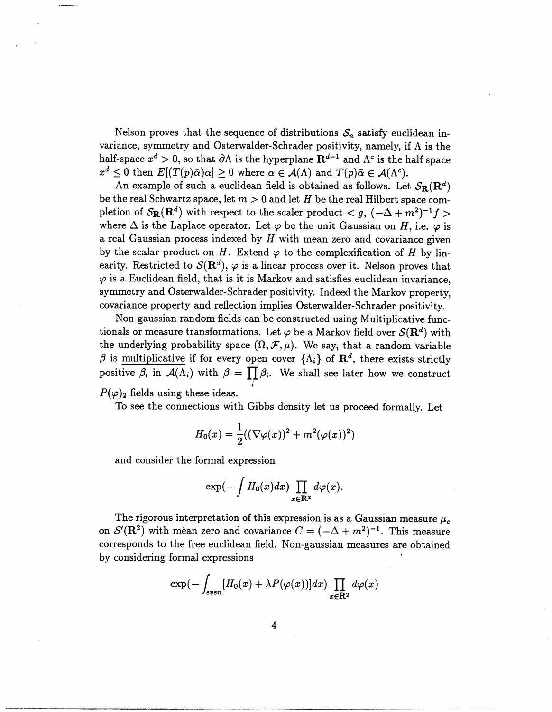Nelson proves that the sequence of distributions  $S_n$  satisfy euclidean invariance, symmetry and Osterwalder-Schrader positivity, namely, if  $\Lambda$  is the half-space  $x^d > 0$ , so that  $\partial \Lambda$  is the hyperplane  $\mathbf{R}^{d-1}$  and  $\Lambda^c$  is the half space  $x^d \leq 0$  then  $E[(T(p)\overline{\alpha})\alpha] \geq 0$  where  $\alpha \in \mathcal{A}(\Lambda)$  and  $T(p)\overline{\alpha} \in \mathcal{A}(\Lambda^c)$ .

An example of such a euclidean field is obtained as follows. Let  $S_{\mathbf{R}}(\mathbf{R}^d)$ be the real Schwartz space, let  $m > 0$  and let *H* be the real Hilbert space completion of  $S_{\mathbf{R}}(\mathbf{R}^d)$  with respect to the scaler product  $\lt g$ ,  $(-\Delta + m^2)^{-1}f$ where  $\Delta$  is the Laplace operator. Let  $\varphi$  be the unit Gaussian on *H*, i.e.  $\varphi$  is a real Gaussian process indexed by *H* with mean zero and covariance given by the scalar product on *H*. Extend  $\varphi$  to the complexification of *H* by linearity. Restricted to  $\mathcal{S}(\mathbf{R}^d)$ ,  $\varphi$  is a linear process over it. Nelson proves that  $\varphi$  is a Euclidean field, that is it is Markov and satisfies euclidean invariance. symmetry and Osterwalder-Schrader positivity. Indeed the Markov property, covariance property and reflection implies Osterwalder-Schrader positivity.

Non-gaussian random fields can be constructed using Multiplicative functionals or measure transformations. Let  $\varphi$  be a Markov field over  $\mathcal{S}(\mathbf{R}^d)$  with the underlying probability space  $(\Omega, \mathcal{F}, \mu)$ . We say, that a random variable  $\beta$  is multiplicative if for every open cover  $\{\Lambda_i\}$  of  $\mathbb{R}^d$ , there exists strictly positive  $\beta_i$  in  $\mathcal{A}(\Lambda_i)$  with  $\beta = \prod \beta_i$ . We shall see later how we construct  $P(\varphi)$ <sub>2</sub> fields using these ideas.

To see the connections with Gibbs density let us proceed formally. Let

$$
H_0(x) = \frac{1}{2}((\nabla \varphi(x))^2 + m^2(\varphi(x))^2)
$$

and consider the formal expression

$$
\exp(-\int H_0(x)dx)\prod_{x\in\mathbf{R}^2}d\varphi(x).
$$

The rigorous interpretation of this expression is as a Gaussian measure  $\mu_c$ on  $\mathcal{S}'(\mathbf{R}^2)$  with mean zero and covariance  $C = (-\Delta + m^2)^{-1}$ . This measure corresponds to the free euclidean field. Non-gaussian measures are obtained by considering formal expressions

$$
\exp(-\int_{even} [H_0(x) + \lambda P(\varphi(x))]dx) \prod_{x \in \mathbf{R}^2} d\varphi(x)
$$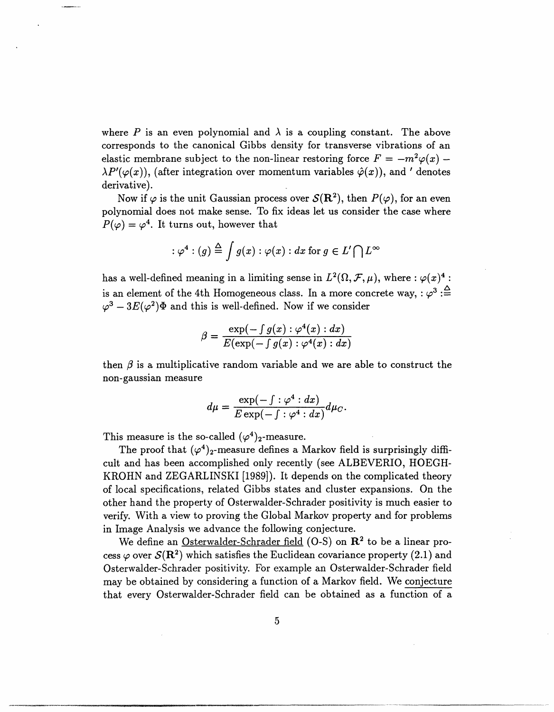where P is an even polynomial and  $\lambda$  is a coupling constant. The above corresponds to the canonical Gibbs density for transverse vibrations of an elastic membrane subject to the non-linear restoring force  $F = -m^2\varphi(x)$  - $\lambda P'(\varphi(x))$ , (after integration over momentum variables  $\hat{\varphi}(x)$ ), and ' denotes derivative).

Now if  $\varphi$  is the unit Gaussian process over  $\mathcal{S}(\mathbb{R}^2)$ , then  $P(\varphi)$ , for an even polynomial does not make sense. To fix ideas let us consider the case where  $P(\varphi) = \varphi^4$ . It turns out, however that

$$
\varphi^4:(g) \stackrel{\Delta}{=} \int g(x) : \varphi(x) : dx \text{ for } g \in L' \bigcap L^{\infty}
$$

has a well-defined meaning in a limiting sense in  $L^2(\Omega, \mathcal{F}, \mu),$  where :  $\varphi(x)^4$ is an element of the 4th Homogeneous class. In a more concrete way,  $:\varphi^3:\triangle^2$  $\varphi^3 - 3E(\varphi^2)$  and this is well-defined. Now if we consider

$$
\beta = \frac{\exp(-\int g(x) : \varphi^4(x) : dx)}{E(\exp(-\int g(x) : \varphi^4(x) : dx)}
$$

then  $\beta$  is a multiplicative random variable and we are able to construct the non-gaussian measure

$$
d\mu = \frac{\exp(-\int : \varphi^4 : dx)}{E \exp(-\int : \varphi^4 : dx)} d\mu_C.
$$

This measure is the so-called  $(\varphi^4)_2$ -measure.

The proof that  $(\varphi^4)_2$ -measure defines a Markov field is surprisingly difficult and has been accomplished only recently (see ALBEVERIO, HOEGH-KROHN and ZEGARLINSKI [1989]). It depends on the complicated theory of local specifications, related Gibbs states and cluster expansions. On the other hand the property of Osterwalder-Schrader positivity is much easier to verify. With a view to proving the Global Markov property and for problems in Image Analysis we advance the following conjecture.

We define an Osterwalder-Schrader field  $(O-S)$  on  $\mathbb{R}^2$  to be a linear process  $\varphi$  over  $\mathcal{S}(\mathbb{R}^2)$  which satisfies the Euclidean covariance property (2.1) and Osterwalder-Schrader positivity. For example an Osterwalder-Schrader field may be obtained by considering a function of a Markov field. We conjecture that every Osterwalder-Schrader field can be obtained as a function of a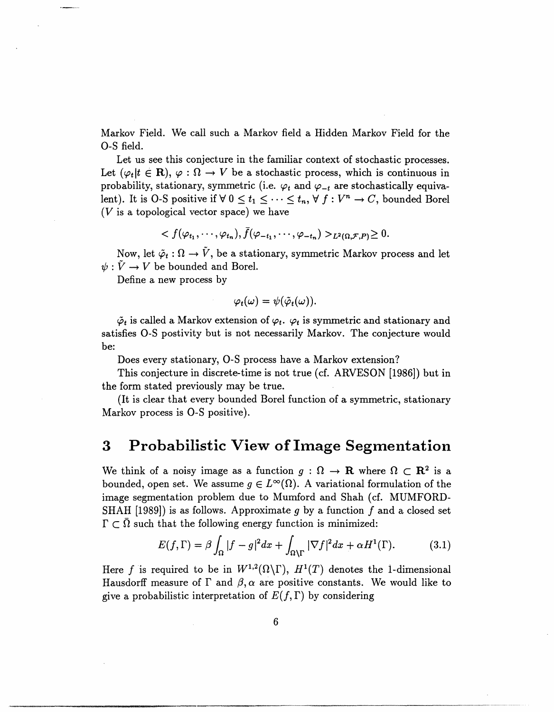Markov Field. We call such a Markov field a Hidden Markov Field for the O-S field.

Let us see this conjecture in the familiar context of stochastic processes. Let  $(\varphi_t | t \in \mathbf{R})$ ,  $\varphi : \Omega \to V$  be a stochastic process, which is continuous in probability, stationary, symmetric (i.e.  $\varphi_t$  and  $\varphi_{-t}$  are stochastically equivalent). It is O-S positive if  $\forall 0 \le t_1 \le \cdots \le t_n$ ,  $\forall f: V^n \to C$ , bounded Borel  $(V$  is a topological vector space) we have

$$
\langle f(\varphi_{t_1},\cdots,\varphi_{t_n}),\overline{f}(\varphi_{-t_1},\cdots,\varphi_{-t_n})\rangle_{L^2(\Omega,\mathcal{F},P)}\geq 0.
$$

Now, let  $\tilde{\varphi}_t : \Omega \to \tilde{V}$ , be a stationary, symmetric Markov process and let  $\psi : \tilde{V} \to V$  be bounded and Borel.

Define a new process by

$$
\varphi_t(\omega)=\psi(\tilde{\varphi}_t(\omega)).
$$

 $\tilde{\varphi}_t$  is called a Markov extension of  $\varphi_t$ .  $\varphi_t$  is symmetric and stationary and satisfies O-S postivity but is not necessarily Markov. The conjecture would be:

Does every stationary, O-S process have a Markov extension?

This conjecture in discrete-time is not true (cf. ARVESON [1986]) but in the form stated previously may be true.

(It is clear that every bounded Borel function of a symmetric, stationary Markov process is O-S positive).

## **3 Probabilistic View of Image Segmentation**

We think of a noisy image as a function  $g : \Omega \to \mathbf{R}$  where  $\Omega \subset \mathbf{R}^2$  is a bounded, open set. We assume  $g \in L^{\infty}(\Omega)$ . A variational formulation of the image segmentation problem due to Mumford and Shah (cf. MUMFORD-SHAH [1989]) is as follows. Approximate g by a function *f* and a closed set  $\Gamma \subset \Omega$  such that the following energy function is minimized:

$$
E(f,\Gamma) = \beta \int_{\Omega} |f - g|^2 dx + \int_{\Omega \backslash \Gamma} |\nabla f|^2 dx + \alpha H^1(\Gamma). \tag{3.1}
$$

Here f is required to be in  $W^{1,2}(\Omega \backslash \Gamma)$ ,  $H^1(T)$  denotes the 1-dimensional Hausdorff measure of  $\Gamma$  and  $\beta$ ,  $\alpha$  are positive constants. We would like to give a probabilistic interpretation of  $E(f, \Gamma)$  by considering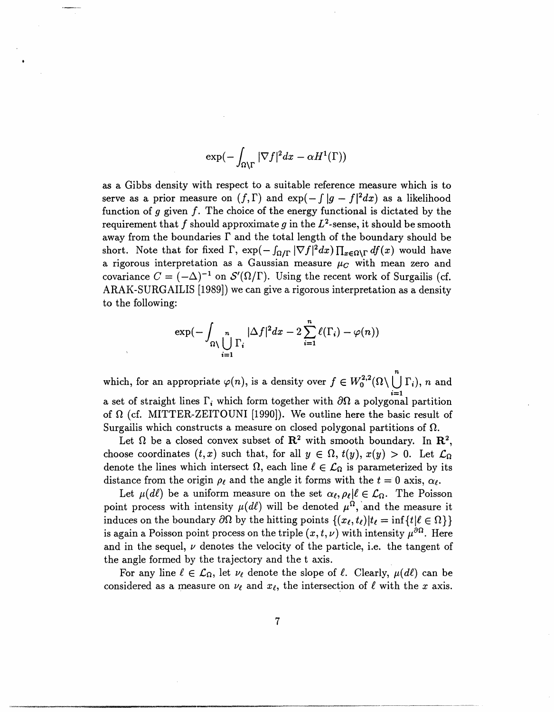$$
\exp(-\int_{\Omega\setminus\Gamma}|\nabla f|^2dx-\alpha H^1(\Gamma))
$$

as a Gibbs density with respect to a suitable reference measure which is to serve as a prior measure on  $(f, \Gamma)$  and  $exp(-\int |g - f|^2 dx)$  as a likelihood function of g given *f.* The choice of the energy functional is dictated by the requirement that f should approximate g in the  $L^2$ -sense, it should be smooth away from the boundaries  $\Gamma$  and the total length of the boundary should be short. Note that for fixed  $\Gamma$ ,  $\exp(- \int_{\Omega/\Gamma} |\nabla f|^2 dx) \prod_{x \in \Omega \backslash \Gamma} df(x)$  would have a rigorous interpretation as a Gaussian measure  $\mu_C$  with mean zero and covariance  $C = (-\Delta)^{-1}$  on  $\mathcal{S}'(\Omega/\Gamma)$ . Using the recent work of Surgailis (cf. ARAK-SURGAILIS [1989]) we can give a rigorous interpretation as a density to the following:

$$
\exp(-\int_{\Omega \setminus \bigcup_{i=1}^n \Gamma_i} |\Delta f|^2 dx - 2 \sum_{i=1}^n \ell(\Gamma_i) - \varphi(n))
$$

*n* which, for an appropriate  $\varphi(n)$ , is a density over  $f \in W_0^{2,2}(\Omega \setminus \bigcup \Gamma_i)$ , *n* and a set of straight lines  $\Gamma_i$  which form together with  $\partial \Omega$  a polygonal partition of  $\Omega$  (cf. MITTER-ZEITOUNI [1990]). We outline here the basic result of Surgailis which constructs a measure on closed polygonal partitions of  $\Omega$ .

Let  $\Omega$  be a closed convex subset of  $\mathbb{R}^2$  with smooth boundary. In  $\mathbb{R}^2$ , choose coordinates  $(t, x)$  such that, for all  $y \in \Omega$ ,  $t(y)$ ,  $x(y) > 0$ . Let  $\mathcal{L}_{\Omega}$ denote the lines which intersect  $\Omega$ , each line  $\ell \in \mathcal{L}_{\Omega}$  is parameterized by its distance from the origin  $\rho_{\ell}$  and the angle it forms with the  $t = 0$  axis,  $\alpha_{\ell}$ .

Let  $\mu(d\ell)$  be a uniform measure on the set  $\alpha_{\ell}, \rho_{\ell} | \ell \in \mathcal{L}_{\Omega}$ . The Poisson point process with intensity  $\mu(d\ell)$  will be denoted  $\mu^{\Omega}$ , and the measure it induces on the boundary  $\partial\Omega$  by the hitting points  $\{(x_\ell, t_\ell)|t_\ell = \inf\{t|\ell \in \Omega\}\}\$ is again a Poisson point process on the triple  $(x, t, \nu)$  with intensity  $\mu^{\partial \Omega}$ . Here and in the sequel,  $\nu$  denotes the velocity of the particle, i.e. the tangent of the angle formed by the trajectory and the t axis.

For any line  $\ell \in \mathcal{L}_{\Omega}$ , let  $\nu_{\ell}$  denote the slope of  $\ell$ . Clearly,  $\mu(d\ell)$  can be considered as a measure on  $\nu_{\ell}$  and  $x_{\ell}$ , the intersection of  $\ell$  with the x axis.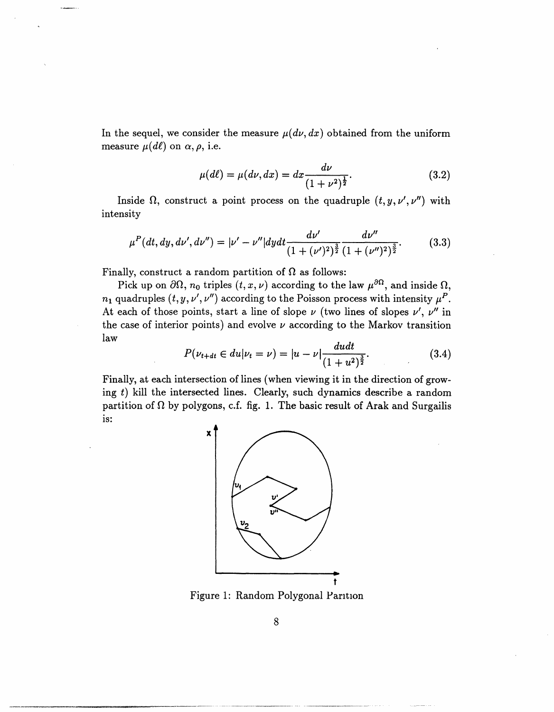In the sequel, we consider the measure  $\mu(d\nu, dx)$  obtained from the uniform measure  $\mu(d\ell)$  on  $\alpha, \rho$ , i.e.

$$
\mu(d\ell) = \mu(d\nu, dx) = dx \frac{d\nu}{(1 + \nu^2)^{\frac{1}{2}}}.
$$
\n(3.2)

Inside  $\Omega$ , construct a point process on the quadruple  $(t, y, \nu', \nu'')$  with intensity

$$
\mu^{P}(dt, dy, dv', dv'') = |\nu' - \nu''| dy dt \frac{dv'}{(1 + (\nu')^{2})^{\frac{3}{2}}} \frac{dv''}{(1 + (\nu'')^{2})^{\frac{3}{2}}}.
$$
(3.3)

Finally, construct a random partition of  $\Omega$  as follows:

Pick up on  $\partial\Omega$ ,  $n_0$  triples  $(t, x, \nu)$  according to the law  $\mu^{\partial\Omega}$ , and inside  $\Omega$ ,  $n_1$  quadruples  $(t, y, \nu', \nu'')$  according to the Poisson process with intensity  $\mu^P$ . At each of those points, start a line of slope  $\nu$  (two lines of slopes  $\nu'$ ,  $\nu''$  in the case of interior points) and evolve  $\nu$  according to the Markov transition law

$$
P(\nu_{t+dt} \in du | \nu_t = \nu) = |u - \nu| \frac{du dt}{(1 + u^2)^{\frac{3}{2}}}.
$$
 (3.4)

Finally, at each intersection of lines (when viewing it in the direction of growing  $t$ ) kill the intersected lines. Clearly, such dynamics describe a random partition of  $\Omega$  by polygons, c.f. fig. 1. The basic result of Arak and Surgailis is:



Figure 1: Random Polygonal Parition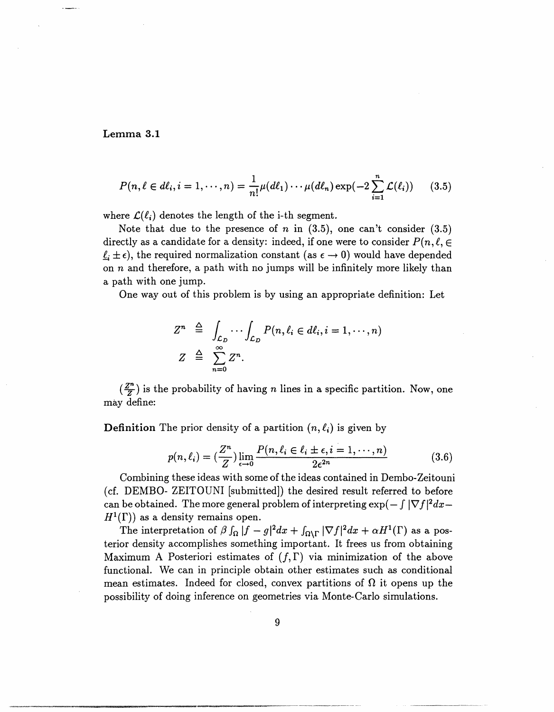#### **Lemma 3.1**

$$
P(n,\ell \in d\ell_i, i=1,\cdots,n) = \frac{1}{n!}\mu(d\ell_1)\cdots\mu(d\ell_n)\exp(-2\sum_{i=1}^n\mathcal{L}(\ell_i))\qquad(3.5)
$$

where  $\mathcal{L}(\ell_i)$  denotes the length of the i-th segment.

Note that due to the presence of *n* in  $(3.5)$ , one can't consider  $(3.5)$ directly as a candidate for a density: indeed, if one were to consider  $P(n, \ell, \epsilon)$  $\ell_i \pm \epsilon$ , the required normalization constant (as  $\epsilon \to 0$ ) would have depended on  $n$  and therefore, a path with no jumps will be infinitely more likely than a path with one jump.

One way out of this problem is by using an appropriate definition: Let

$$
Z^{n} \triangleq \int_{\mathcal{L}_D} \cdots \int_{\mathcal{L}_D} P(n, \ell_i \in d\ell_i, i = 1, \cdots, n)
$$
  

$$
Z \triangleq \sum_{n=0}^{\infty} Z^{n}.
$$

 $(\frac{Z^n}{Z})$  is the probability of having *n* lines in a specific partition. Now, one may define:

**Definition** The prior density of a partition  $(n, \ell_i)$  is given by

$$
p(n,\ell_i) = \left(\frac{Z^n}{Z}\right) \lim_{\epsilon \to 0} \frac{P(n,\ell_i \in \ell_i \pm \epsilon, i = 1,\cdots, n)}{2\epsilon^{2n}} \tag{3.6}
$$

Combining these ideas with some of the ideas contained in Dembo-Zeitouni (cf. DEMBO- ZEITOUNI [submitted]) the desired result referred to before can be obtained. The more general problem of interpreting  $\exp(-\int |\nabla f|^2 dx H^1(\Gamma)$  as a density remains open.

The interpretation of  $\beta \int_{\Omega} |f - g|^2 dx + \int_{\Omega \setminus \Gamma} |\nabla f|^2 dx + \alpha H^1(\Gamma)$  as a posterior density accomplishes something important. It frees us from obtaining Maximum A Posteriori estimates of  $(f, \Gamma)$  via minimization of the above functional. We can in principle obtain other estimates such as conditional mean estimates. Indeed for closed, convex partitions of  $\Omega$  it opens up the possibility of doing inference on geometries via Monte-Carlo simulations.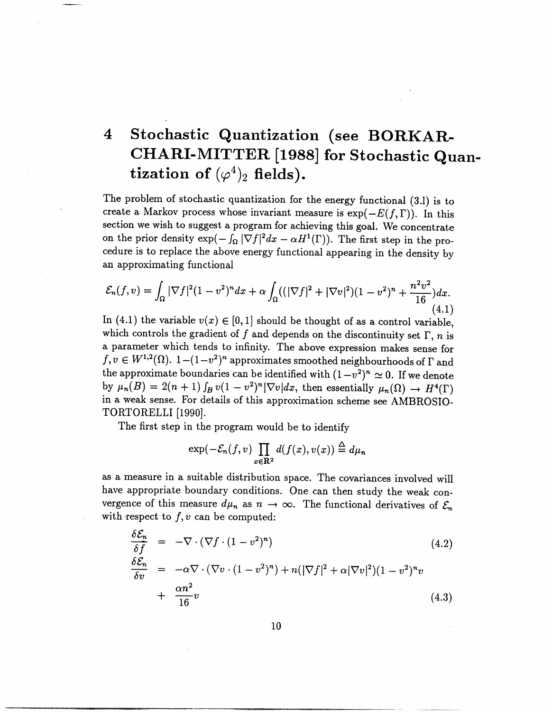# 4 **Stochastic Quantization (see BORKAR-CHARI-MITTER [1988] for Stochastic Quantization of**  $(\varphi^4)_2$  fields).

The problem of stochastic quantization for the energy functional (3.1) is to create a Markov process whose invariant measure is  $\exp(-E(f, \Gamma))$ . In this section we wish to suggest a program for achieving this goal. We concentrate on the prior density  $\exp(-\int_{\Omega}|\nabla f|^2dx - \alpha H^1(\Gamma)).$  The first step in the procedure is to replace the above energy functional appearing in the density by an approximating functional

$$
\mathcal{E}_n(f, v) = \int_{\Omega} |\nabla f|^2 (1 - v^2)^n dx + \alpha \int_{\Omega} ((|\nabla f|^2 + |\nabla v|^2)(1 - v^2)^n + \frac{n^2 v^2}{16}) dx.
$$
\n(4.1)

In (4.1) the variable  $v(x) \in [0,1]$  should be thought of as a control variable, which controls the gradient of  $f$  and depends on the discontinuity set  $\Gamma$ ,  $n$  is a parameter which tends to infinity. The above expression makes sense for  $f, v \in W^{1,2}(\Omega)$ .  $1-(1-v^2)^n$  approximates smoothed neighbourhoods of  $\Gamma$  and the approximate boundaries can be identified with  $(1-v^2)^n \approx 0$ . If we denote by  $\mu_n(B) = 2(n+1) \int_B v(1-v^2)^n |\nabla v| dx$ , then essentially  $\mu_n(\Omega) \to H^4(\Gamma)$ in a weak sense. For details of this approximation scheme see AMBROSIO-TORTORELLI [1990].

The first step in the program would be to identify

$$
\exp(-\mathcal{E}_n(f,v)\prod_{x\in\mathbf{R}^2}d(f(x),v(x))\stackrel{\Delta}{=}d\mu_n
$$

as a measure in a suitable distribution space. The covariances involved will have appropriate boundary conditions. One can then study the weak convergence of this measure  $d\mu_n$  as  $n \to \infty$ . The functional derivatives of  $\mathcal{E}_n$ with respect to  $f, v$  can be computed:

$$
\frac{\delta \mathcal{E}_n}{\delta f} = -\nabla \cdot (\nabla f \cdot (1 - v^2)^n)
$$
\n
$$
\frac{\delta \mathcal{E}_n}{\delta v} = -\alpha \nabla \cdot (\nabla v \cdot (1 - v^2)^n) + n(|\nabla f|^2 + \alpha |\nabla v|^2)(1 - v^2)^n v
$$
\n
$$
+ \frac{\alpha n^2}{16} v \tag{4.3}
$$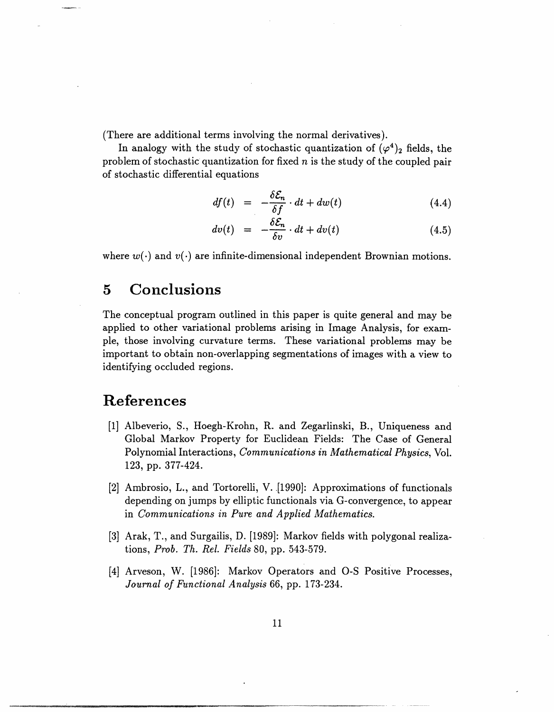(There are additional terms involving the normal derivatives).

In analogy with the study of stochastic quantization of  $(\varphi^4)_2$  fields, the problem of stochastic quantization for fixed *n* is the study of the coupled pair of stochastic differential equations

$$
df(t) = -\frac{\delta \mathcal{E}_n}{\delta f} \cdot dt + dw(t) \tag{4.4}
$$

$$
dv(t) = -\frac{\delta \mathcal{E}_n}{\delta v} \cdot dt + dv(t) \tag{4.5}
$$

where  $w(\cdot)$  and  $v(\cdot)$  are infinite-dimensional independent Brownian motions.

## **5 Conclusions**

The conceptual program outlined in this paper is quite general and may be applied to other variational problems arising in Image Analysis, for example, those involving curvature terms. These variational problems may be important to obtain non-overlapping segmentations of images with a view to identifying occluded regions.

## **References**

- [1] Albeverio, S., Hoegh-Krohn, R. and Zegarlinski, B., Uniqueness and Global Markov Property for Euclidean Fields: The Case of General Polynomial Interactions, *Communications in Mathematical Physics,* Vol. 123, pp. 377-424.
- [2] Ambrosio, L., and Tortorelli, V. [1990]: Approximations of functionals depending on jumps by elliptic functionals via G-convergence, to appear in *Communications in Pure and Applied Mathematics.*
- [3] Arak, T., and Surgailis, D. [1989]: Markov fields with polygonal realizations, *Prob. Th. Rel. Fields* 80, pp. 543-579.
- [4] Arveson, W. [1986]: Markov Operators and O-S Positive Processes, *Journal of Functional Analysis 66,* pp. 173-234.